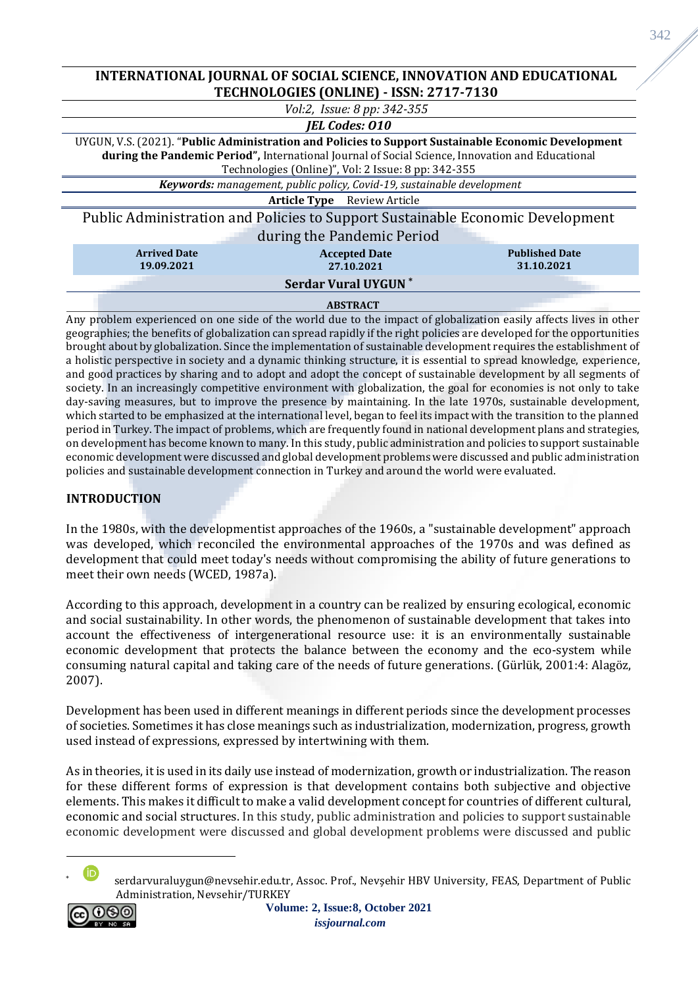## **INTERNATIONAL JOURNAL OF SOCIAL SCIENCE, INNOVATION AND EDUCATIONAL TECHNOLOGIES (ONLINE) - ISSN: 2717-7130**

| Vol:2, Issue: 8 pp: 342-355                                                                                                                                                                                                                                    |                                                                                                                |  |  |  |  |
|----------------------------------------------------------------------------------------------------------------------------------------------------------------------------------------------------------------------------------------------------------------|----------------------------------------------------------------------------------------------------------------|--|--|--|--|
| <b>IEL Codes: 010</b>                                                                                                                                                                                                                                          |                                                                                                                |  |  |  |  |
| UYGUN, V.S. (2021). "Public Administration and Policies to Support Sustainable Economic Development<br>during the Pandemic Period", International Journal of Social Science, Innovation and Educational<br>Technologies (Online)", Vol: 2 Issue: 8 pp: 342-355 |                                                                                                                |  |  |  |  |
| Keywords: management, public policy, Covid-19, sustainable development                                                                                                                                                                                         |                                                                                                                |  |  |  |  |
| <b>Article Type</b> Review Article                                                                                                                                                                                                                             |                                                                                                                |  |  |  |  |
| Public Administration and Policies to Support Sustainable Economic Development<br>during the Pandemic Period                                                                                                                                                   |                                                                                                                |  |  |  |  |
|                                                                                                                                                                                                                                                                | <b>Arrived Date</b><br><b>Published Date</b><br><b>Accepted Date</b><br>19.09.2021<br>31.10.2021<br>27.10.2021 |  |  |  |  |
| <b>Serdar Vural UYGUN*</b>                                                                                                                                                                                                                                     |                                                                                                                |  |  |  |  |
|                                                                                                                                                                                                                                                                | <b>ABSTRACT</b>                                                                                                |  |  |  |  |

Any problem experienced on one side of the world due to the impact of globalization easily affects lives in other geographies; the benefits of globalization can spread rapidly if the right policies are developed for the opportunities brought about by globalization. Since the implementation of sustainable development requires the establishment of a holistic perspective in society and a dynamic thinking structure, it is essential to spread knowledge, experience, and good practices by sharing and to adopt and adopt the concept of sustainable development by all segments of society. In an increasingly competitive environment with globalization, the goal for economies is not only to take day-saving measures, but to improve the presence by maintaining. In the late 1970s, sustainable development, which started to be emphasized at the international level, began to feel its impact with the transition to the planned period in Turkey. The impact of problems, which are frequently found in national development plans and strategies, on development has become known to many. In this study, public administration and policies to support sustainable economic development were discussed and global development problems were discussed and public administration policies and sustainable development connection in Turkey and around the world were evaluated.

# **INTRODUCTION**

In the 1980s, with the developmentist approaches of the 1960s, a "sustainable development" approach was developed, which reconciled the environmental approaches of the 1970s and was defined as development that could meet today's needs without compromising the ability of future generations to meet their own needs (WCED, 1987a).

According to this approach, development in a country can be realized by ensuring ecological, economic and social sustainability. In other words, the phenomenon of sustainable development that takes into account the effectiveness of intergenerational resource use: it is an environmentally sustainable economic development that protects the balance between the economy and the eco-system while consuming natural capital and taking care of the needs of future generations. (Gürlük, 2001:4: Alagöz, 2007).

Development has been used in different meanings in different periods since the development processes of societies. Sometimes it has close meanings such as industrialization, modernization, progress, growth used instead of expressions, expressed by intertwining with them.

As in theories, it is used in its daily use instead of modernization, growth or industrialization. The reason for these different forms of expression is that development contains both subjective and objective elements. This makes it difficult to make a valid development concept for countries of different cultural, economic and social structures. In this study, public administration and policies to support sustainable economic development were discussed and global development problems were discussed and public

serdarvuraluygun@nevsehir.edu.tr, Assoc. Prof., Nevsehir HBV University, FEAS, Department of Public Administration, Nevsehir/TURKEY

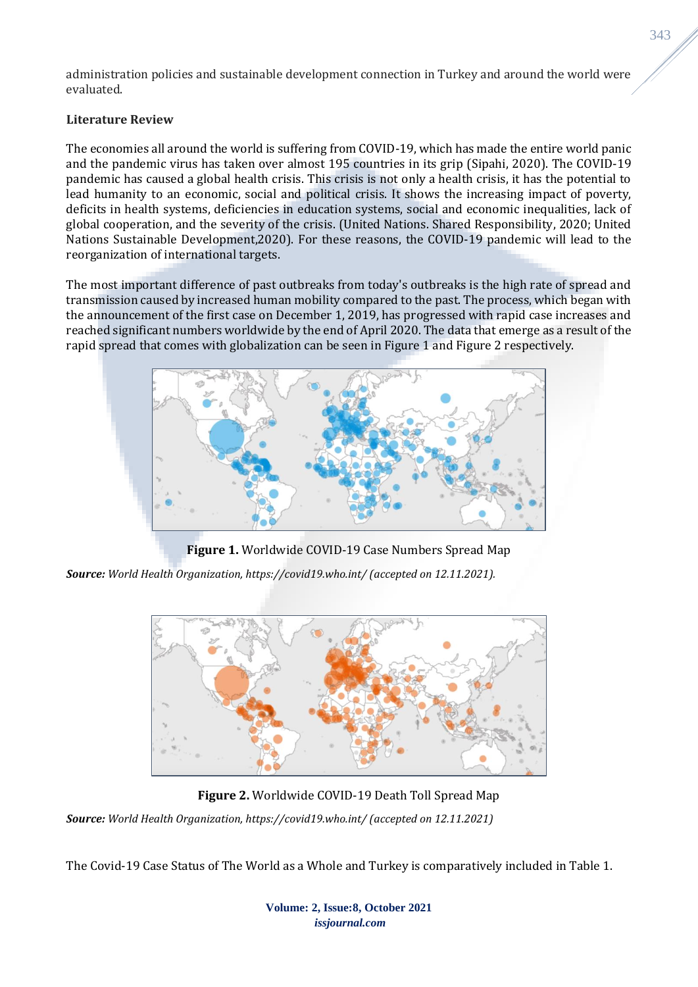administration policies and sustainable development connection in Turkey and around the world were evaluated.

## **Literature Review**

The economies all around the world is suffering from COVID-19, which has made the entire world panic and the pandemic virus has taken over almost 195 countries in its grip (Sipahi, 2020). The COVID-19 pandemic has caused a global health crisis. This crisis is not only a health crisis, it has the potential to lead humanity to an economic, social and political crisis. It shows the increasing impact of poverty, deficits in health systems, deficiencies in education systems, social and economic inequalities, lack of global cooperation, and the severity of the crisis. (United Nations. Shared Responsibility, 2020; United Nations Sustainable Development,2020). For these reasons, the COVID-19 pandemic will lead to the reorganization of international targets.

The most important difference of past outbreaks from today's outbreaks is the high rate of spread and transmission caused by increased human mobility compared to the past. The process, which began with the announcement of the first case on December 1, 2019, has progressed with rapid case increases and reached significant numbers worldwide by the end of April 2020. The data that emerge as a result of the rapid spread that comes with globalization can be seen in Figure 1 and Figure 2 respectively.



**Figure 1.** Worldwide COVID-19 Case Numbers Spread Map

*Source: World Health Organization, https://covid19.who.int/ (accepted on 12.11.2021).*



**Figure 2.** Worldwide COVID-19 Death Toll Spread Map

*Source: World Health Organization, https://covid19.who.int/ (accepted on 12.11.2021)*

The Covid-19 Case Status of The World as a Whole and Turkey is comparatively included in Table 1.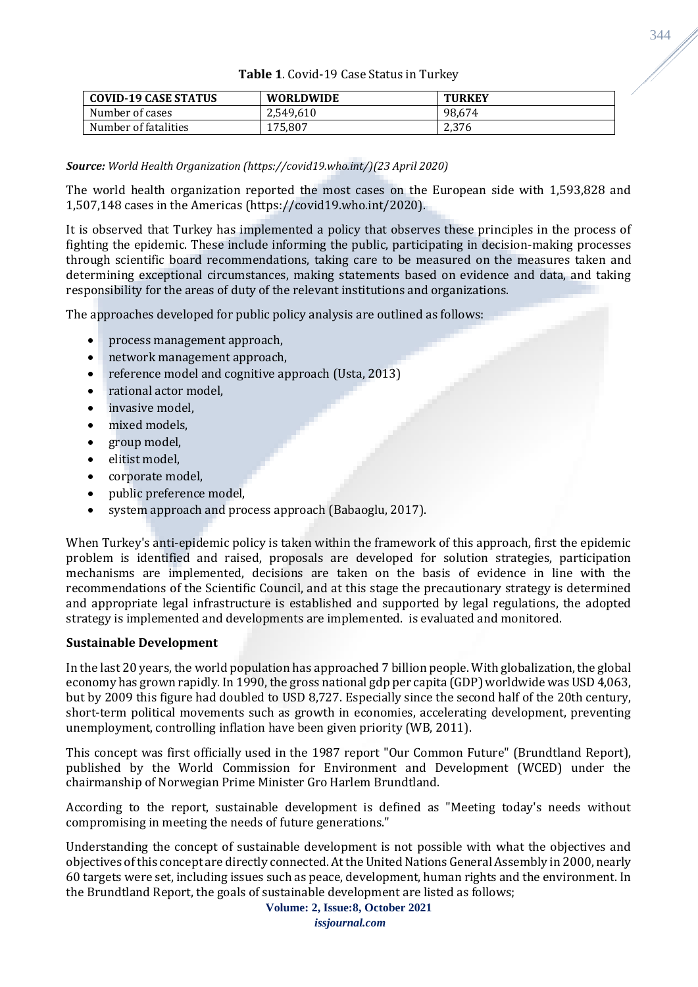| Table 1. Covid-19 Case Status in Turkey |
|-----------------------------------------|
|                                         |

| <b>COVID-19 CASE STATUS</b> | <b>WORLDWIDE</b> | <b>TURKEY</b> |
|-----------------------------|------------------|---------------|
| Number of cases             | 2.549.610        | 98.674        |
| Number of fatalities        | 175.807          | 2,376         |

### *Source: World Health Organization (https://covid19.who.int/)(23 April 2020)*

The world health organization reported the most cases on the European side with 1,593,828 and 1,507,148 cases in the Americas (https://covid19.who.int/2020).

It is observed that Turkey has implemented a policy that observes these principles in the process of fighting the epidemic. These include informing the public, participating in decision-making processes through scientific board recommendations, taking care to be measured on the measures taken and determining exceptional circumstances, making statements based on evidence and data, and taking responsibility for the areas of duty of the relevant institutions and organizations.

The approaches developed for public policy analysis are outlined as follows:

- process management approach,
- network management approach,
- reference model and cognitive approach (Usta, 2013)
- rational actor model,
- invasive model.
- mixed models,
- group model,
- elitist model,
- corporate model,
- public preference model,
- system approach and process approach (Babaoglu, 2017).

When Turkey's anti-epidemic policy is taken within the framework of this approach, first the epidemic problem is identified and raised, proposals are developed for solution strategies, participation mechanisms are implemented, decisions are taken on the basis of evidence in line with the recommendations of the Scientific Council, and at this stage the precautionary strategy is determined and appropriate legal infrastructure is established and supported by legal regulations, the adopted strategy is implemented and developments are implemented. is evaluated and monitored.

### **Sustainable Development**

In the last 20 years, the world population has approached 7 billion people. With globalization, the global economy has grown rapidly. In 1990, the gross national gdp per capita (GDP) worldwide was USD 4,063, but by 2009 this figure had doubled to USD 8,727. Especially since the second half of the 20th century, short-term political movements such as growth in economies, accelerating development, preventing unemployment, controlling inflation have been given priority (WB, 2011).

This concept was first officially used in the 1987 report "Our Common Future" (Brundtland Report), published by the World Commission for Environment and Development (WCED) under the chairmanship of Norwegian Prime Minister Gro Harlem Brundtland.

According to the report, sustainable development is defined as "Meeting today's needs without compromising in meeting the needs of future generations."

Understanding the concept of sustainable development is not possible with what the objectives and objectives of this concept are directly connected. At the United Nations General Assembly in 2000, nearly 60 targets were set, including issues such as peace, development, human rights and the environment. In the Brundtland Report, the goals of sustainable development are listed as follows;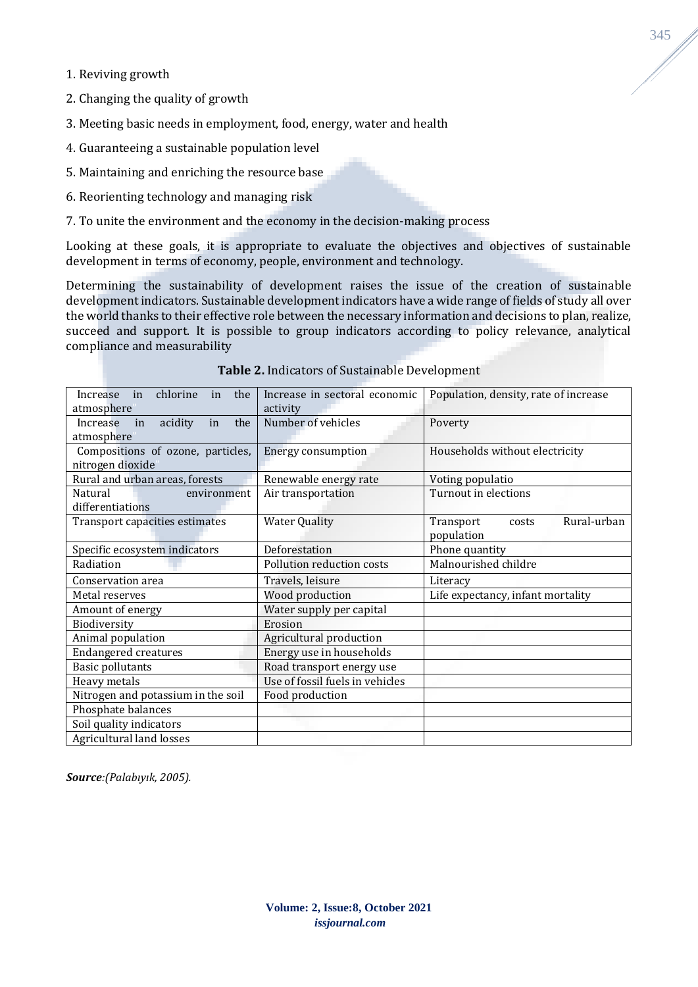1. Reviving growth

2. Changing the quality of growth

3. Meeting basic needs in employment, food, energy, water and health

4. Guaranteeing a sustainable population level

5. Maintaining and enriching the resource base

6. Reorienting technology and managing risk

7. To unite the environment and the economy in the decision-making process

Looking at these goals, it is appropriate to evaluate the objectives and objectives of sustainable development in terms of economy, people, environment and technology.

Determining the sustainability of development raises the issue of the creation of sustainable development indicators. Sustainable development indicators have a wide range of fields of study all over the world thanks to their effective role between the necessary information and decisions to plan, realize, succeed and support. It is possible to group indicators according to policy relevance, analytical compliance and measurability

| chlorine<br>the<br>Increase<br>in<br>in<br>atmosphere | Increase in sectoral economic<br>activity | Population, density, rate of increase |
|-------------------------------------------------------|-------------------------------------------|---------------------------------------|
| the<br>Increase<br>in<br>acidity<br>in                | Number of vehicles                        | Poverty                               |
| atmosphere                                            |                                           |                                       |
| Compositions of ozone, particles,                     | <b>Energy consumption</b>                 | Households without electricity        |
| nitrogen dioxide                                      |                                           |                                       |
|                                                       |                                           |                                       |
| Rural and urban areas, forests                        | Renewable energy rate                     | Voting populatio                      |
| Natural<br>environment                                | Air transportation                        | Turnout in elections                  |
| differentiations                                      |                                           |                                       |
| Transport capacities estimates                        | <b>Water Quality</b>                      | Rural-urban<br>Transport<br>costs     |
|                                                       |                                           | population                            |
| Specific ecosystem indicators                         | Deforestation                             | Phone quantity                        |
| Radiation                                             | Pollution reduction costs                 | Malnourished childre                  |
| Conservation area                                     | Travels, leisure                          | Literacy                              |
| Metal reserves                                        | Wood production                           | Life expectancy, infant mortality     |
| Amount of energy                                      | Water supply per capital                  |                                       |
| Biodiversity                                          | Erosion                                   |                                       |
| Animal population                                     | Agricultural production                   |                                       |
| <b>Endangered creatures</b>                           | Energy use in households                  |                                       |
| <b>Basic pollutants</b>                               | Road transport energy use                 |                                       |
| Heavy metals                                          | Use of fossil fuels in vehicles           |                                       |
| Nitrogen and potassium in the soil                    | Food production                           |                                       |
| Phosphate balances                                    |                                           |                                       |
| Soil quality indicators                               |                                           |                                       |
| Agricultural land losses                              |                                           |                                       |

**Table 2.** Indicators of Sustainable Development

*Source:(Palabıyık, 2005).*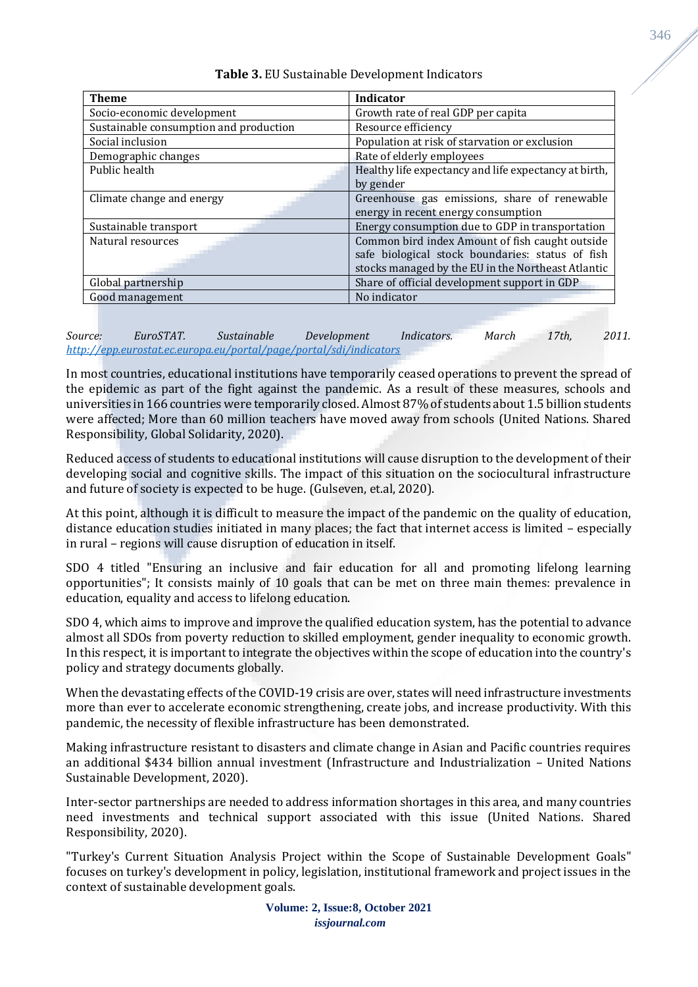| Indicator                                             |
|-------------------------------------------------------|
| Growth rate of real GDP per capita                    |
| Resource efficiency                                   |
| Population at risk of starvation or exclusion         |
| Rate of elderly employees                             |
| Healthy life expectancy and life expectancy at birth, |
| by gender                                             |
| Greenhouse gas emissions, share of renewable          |
| energy in recent energy consumption                   |
| Energy consumption due to GDP in transportation       |
| Common bird index Amount of fish caught outside       |
| safe biological stock boundaries: status of fish      |
| stocks managed by the EU in the Northeast Atlantic    |
| Share of official development support in GDP          |
| No indicator                                          |
|                                                       |

**Table 3.** EU Sustainable Development Indicators

*Source: EuroSTAT. Sustainable Development Indicators. March 17th, 2011. <http://epp.eurostat.ec.europa.eu/portal/page/portal/sdi/indicators>*

In most countries, educational institutions have temporarily ceased operations to prevent the spread of the epidemic as part of the fight against the pandemic. As a result of these measures, schools and universities in 166 countries were temporarily closed. Almost 87% of students about 1.5 billion students were affected; More than 60 million teachers have moved away from schools (United Nations. Shared Responsibility, Global Solidarity, 2020).

Reduced access of students to educational institutions will cause disruption to the development of their developing social and cognitive skills. The impact of this situation on the sociocultural infrastructure and future of society is expected to be huge. (Gulseven, et.al, 2020).

At this point, although it is difficult to measure the impact of the pandemic on the quality of education, distance education studies initiated in many places; the fact that internet access is limited – especially in rural – regions will cause disruption of education in itself.

SDO 4 titled "Ensuring an inclusive and fair education for all and promoting lifelong learning opportunities"; It consists mainly of 10 goals that can be met on three main themes: prevalence in education, equality and access to lifelong education.

SDO 4, which aims to improve and improve the qualified education system, has the potential to advance almost all SDOs from poverty reduction to skilled employment, gender inequality to economic growth. In this respect, it is important to integrate the objectives within the scope of education into the country's policy and strategy documents globally.

When the devastating effects of the COVID-19 crisis are over, states will need infrastructure investments more than ever to accelerate economic strengthening, create jobs, and increase productivity. With this pandemic, the necessity of flexible infrastructure has been demonstrated.

Making infrastructure resistant to disasters and climate change in Asian and Pacific countries requires an additional \$434 billion annual investment (Infrastructure and Industrialization – United Nations Sustainable Development, 2020).

Inter-sector partnerships are needed to address information shortages in this area, and many countries need investments and technical support associated with this issue (United Nations. Shared Responsibility, 2020).

"Turkey's Current Situation Analysis Project within the Scope of Sustainable Development Goals" focuses on turkey's development in policy, legislation, institutional framework and project issues in the context of sustainable development goals.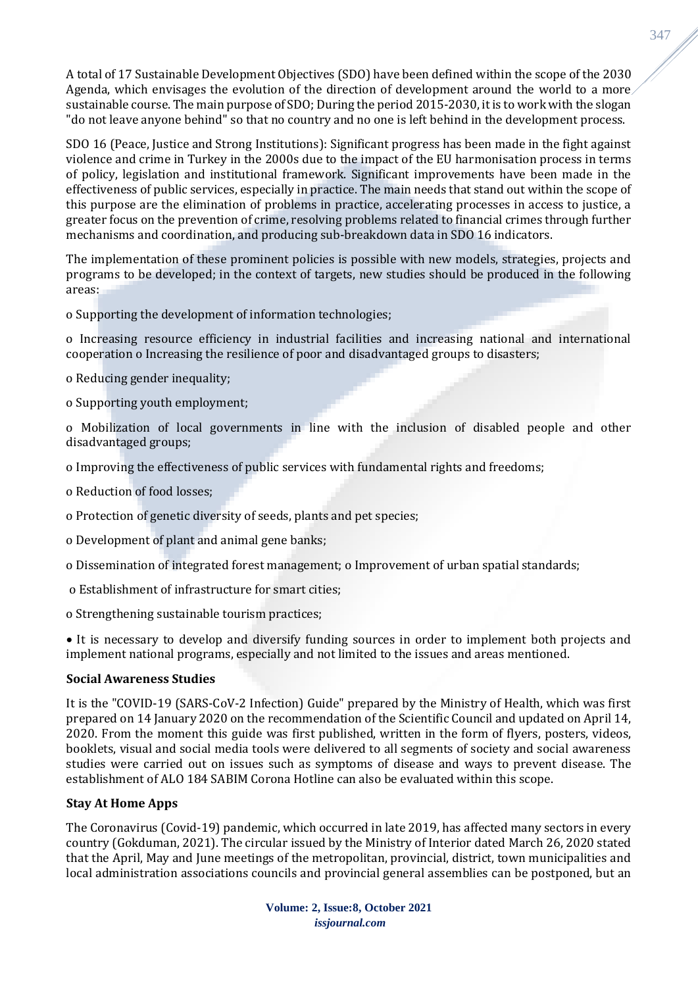A total of 17 Sustainable Development Objectives (SDO) have been defined within the scope of the 2030 Agenda, which envisages the evolution of the direction of development around the world to a more sustainable course. The main purpose of SDO; During the period 2015-2030, it is to work with the slogan "do not leave anyone behind" so that no country and no one is left behind in the development process.

SDO 16 (Peace, Justice and Strong Institutions): Significant progress has been made in the fight against violence and crime in Turkey in the 2000s due to the impact of the EU harmonisation process in terms of policy, legislation and institutional framework. Significant improvements have been made in the effectiveness of public services, especially in practice. The main needs that stand out within the scope of this purpose are the elimination of problems in practice, accelerating processes in access to justice, a greater focus on the prevention of crime, resolving problems related to financial crimes through further mechanisms and coordination, and producing sub-breakdown data in SDO 16 indicators.

The implementation of these prominent policies is possible with new models, strategies, projects and programs to be developed; in the context of targets, new studies should be produced in the following areas:

o Supporting the development of information technologies;

o Increasing resource efficiency in industrial facilities and increasing national and international cooperation o Increasing the resilience of poor and disadvantaged groups to disasters;

o Reducing gender inequality;

o Supporting youth employment;

o Mobilization of local governments in line with the inclusion of disabled people and other disadvantaged groups;

o Improving the effectiveness of public services with fundamental rights and freedoms;

o Reduction of food losses;

o Protection of genetic diversity of seeds, plants and pet species;

o Development of plant and animal gene banks;

o Dissemination of integrated forest management; o Improvement of urban spatial standards;

o Establishment of infrastructure for smart cities;

o Strengthening sustainable tourism practices;

• It is necessary to develop and diversify funding sources in order to implement both projects and implement national programs, especially and not limited to the issues and areas mentioned.

### **Social Awareness Studies**

It is the "COVID-19 (SARS-CoV-2 Infection) Guide" prepared by the Ministry of Health, which was first prepared on 14 January 2020 on the recommendation of the Scientific Council and updated on April 14, 2020. From the moment this guide was first published, written in the form of flyers, posters, videos, booklets, visual and social media tools were delivered to all segments of society and social awareness studies were carried out on issues such as symptoms of disease and ways to prevent disease. The establishment of ALO 184 SABIM Corona Hotline can also be evaluated within this scope.

# **Stay At Home Apps**

The Coronavirus (Covid-19) pandemic, which occurred in late 2019, has affected many sectors in every country (Gokduman, 2021). The circular issued by the Ministry of Interior dated March 26, 2020 stated that the April, May and June meetings of the metropolitan, provincial, district, town municipalities and local administration associations councils and provincial general assemblies can be postponed, but an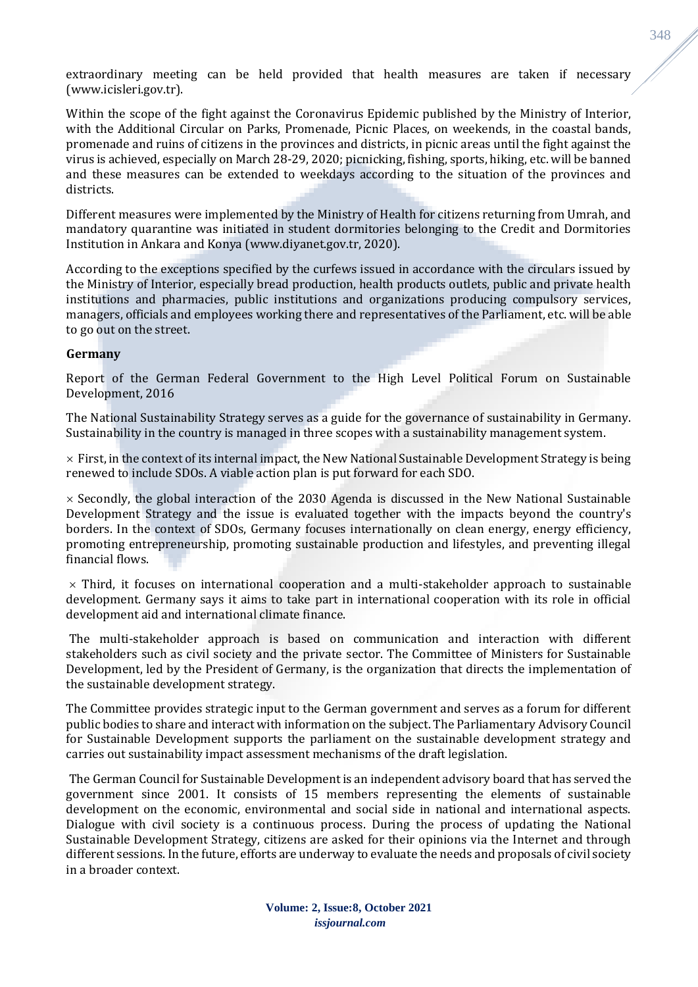extraordinary meeting can be held provided that health measures are taken if necessary (www.icisleri.gov.tr).

Within the scope of the fight against the Coronavirus Epidemic published by the Ministry of Interior, with the Additional Circular on Parks, Promenade, Picnic Places, on weekends, in the coastal bands, promenade and ruins of citizens in the provinces and districts, in picnic areas until the fight against the virus is achieved, especially on March 28-29, 2020; picnicking, fishing, sports, hiking, etc. will be banned and these measures can be extended to weekdays according to the situation of the provinces and districts.

Different measures were implemented by the Ministry of Health for citizens returning from Umrah, and mandatory quarantine was initiated in student dormitories belonging to the Credit and Dormitories Institution in Ankara and Konya (www.diyanet.gov.tr, 2020).

According to the exceptions specified by the curfews issued in accordance with the circulars issued by the Ministry of Interior, especially bread production, health products outlets, public and private health institutions and pharmacies, public institutions and organizations producing compulsory services, managers, officials and employees working there and representatives of the Parliament, etc. will be able to go out on the street.

#### **Germany**

Report of the German Federal Government to the High Level Political Forum on Sustainable Development, 2016

The National Sustainability Strategy serves as a guide for the governance of sustainability in Germany. Sustainability in the country is managed in three scopes with a sustainability management system.

 $\times$  First, in the context of its internal impact, the New National Sustainable Development Strategy is being renewed to include SDOs. A viable action plan is put forward for each SDO.

 $\times$  Secondly, the global interaction of the 2030 Agenda is discussed in the New National Sustainable Development Strategy and the issue is evaluated together with the impacts beyond the country's borders. In the context of SDOs, Germany focuses internationally on clean energy, energy efficiency, promoting entrepreneurship, promoting sustainable production and lifestyles, and preventing illegal financial flows.

 $\times$  Third, it focuses on international cooperation and a multi-stakeholder approach to sustainable development. Germany says it aims to take part in international cooperation with its role in official development aid and international climate finance.

The multi-stakeholder approach is based on communication and interaction with different stakeholders such as civil society and the private sector. The Committee of Ministers for Sustainable Development, led by the President of Germany, is the organization that directs the implementation of the sustainable development strategy.

The Committee provides strategic input to the German government and serves as a forum for different public bodies to share and interact with information on the subject. The Parliamentary Advisory Council for Sustainable Development supports the parliament on the sustainable development strategy and carries out sustainability impact assessment mechanisms of the draft legislation.

The German Council for Sustainable Development is an independent advisory board that has served the government since 2001. It consists of 15 members representing the elements of sustainable development on the economic, environmental and social side in national and international aspects. Dialogue with civil society is a continuous process. During the process of updating the National Sustainable Development Strategy, citizens are asked for their opinions via the Internet and through different sessions. In the future, efforts are underway to evaluate the needs and proposals of civil society in a broader context.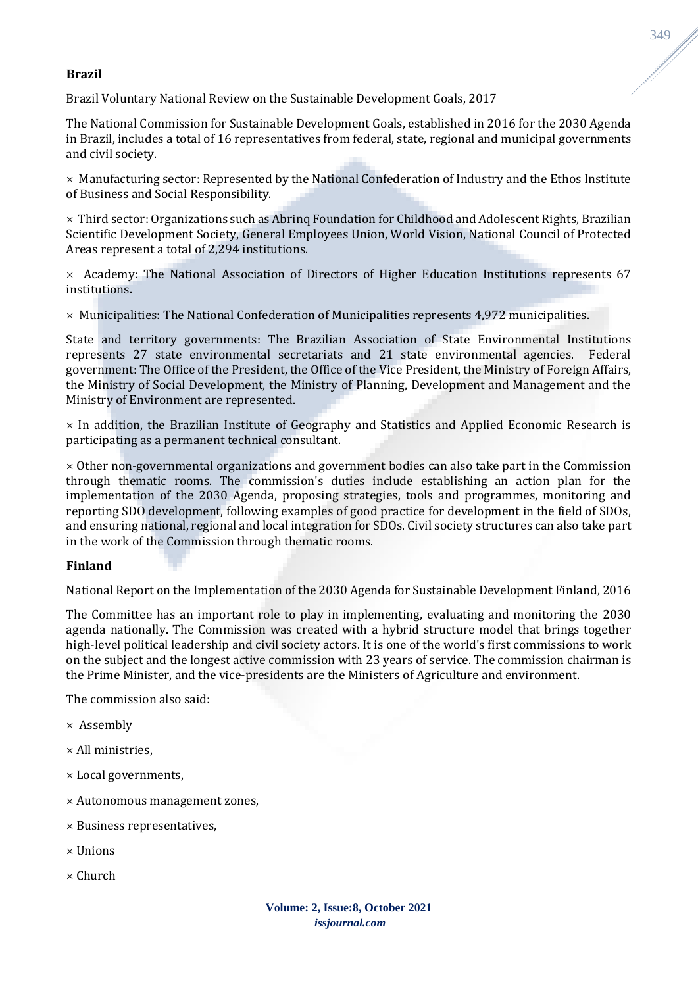### **Brazil**

Brazil Voluntary National Review on the Sustainable Development Goals, 2017

The National Commission for Sustainable Development Goals, established in 2016 for the 2030 Agenda in Brazil, includes a total of 16 representatives from federal, state, regional and municipal governments and civil society.

 $\times$  Manufacturing sector: Represented by the National Confederation of Industry and the Ethos Institute of Business and Social Responsibility.

 $\times$  Third sector: Organizations such as Abring Foundation for Childhood and Adolescent Rights, Brazilian Scientific Development Society, General Employees Union, World Vision, National Council of Protected Areas represent a total of 2,294 institutions.

 $\times$  Academy: The National Association of Directors of Higher Education Institutions represents 67 institutions.

 $\times$  Municipalities: The National Confederation of Municipalities represents 4,972 municipalities.

State and territory governments: The Brazilian Association of State Environmental Institutions represents 27 state environmental secretariats and 21 state environmental agencies. Federal government: The Office of the President, the Office of the Vice President, the Ministry of Foreign Affairs, the Ministry of Social Development, the Ministry of Planning, Development and Management and the Ministry of Environment are represented.

 $\times$  In addition, the Brazilian Institute of Geography and Statistics and Applied Economic Research is participating as a permanent technical consultant.

 $\times$  Other non-governmental organizations and government bodies can also take part in the Commission through thematic rooms. The commission's duties include establishing an action plan for the implementation of the 2030 Agenda, proposing strategies, tools and programmes, monitoring and reporting SDO development, following examples of good practice for development in the field of SDOs, and ensuring national, regional and local integration for SDOs. Civil society structures can also take part in the work of the Commission through thematic rooms.

### **Finland**

National Report on the Implementation of the 2030 Agenda for Sustainable Development Finland, 2016

The Committee has an important role to play in implementing, evaluating and monitoring the 2030 agenda nationally. The Commission was created with a hybrid structure model that brings together high-level political leadership and civil society actors. It is one of the world's first commissions to work on the subject and the longest active commission with 23 years of service. The commission chairman is the Prime Minister, and the vice-presidents are the Ministers of Agriculture and environment.

The commission also said:

- $\times$  Assembly
- $\times$  All ministries,
- $\times$  Local governments,
- Autonomous management zones,
- $\times$  Business representatives,
- $\times$  Unions
- $\times$  Church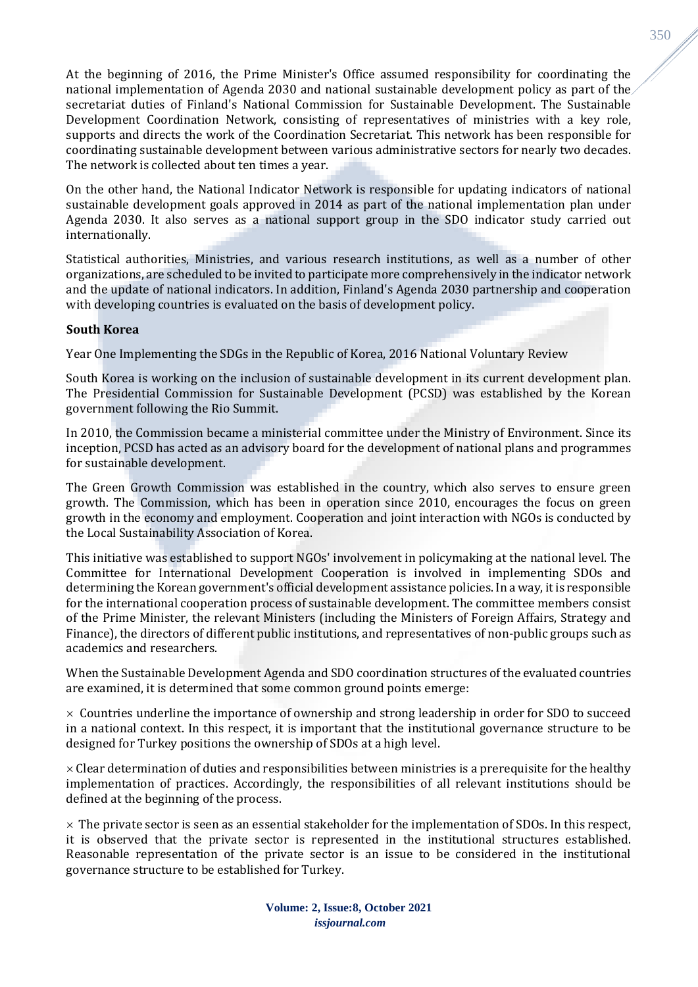At the beginning of 2016, the Prime Minister's Office assumed responsibility for coordinating the national implementation of Agenda 2030 and national sustainable development policy as part of the secretariat duties of Finland's National Commission for Sustainable Development. The Sustainable Development Coordination Network, consisting of representatives of ministries with a key role, supports and directs the work of the Coordination Secretariat. This network has been responsible for coordinating sustainable development between various administrative sectors for nearly two decades. The network is collected about ten times a year.

On the other hand, the National Indicator Network is responsible for updating indicators of national sustainable development goals approved in 2014 as part of the national implementation plan under Agenda 2030. It also serves as a national support group in the SDO indicator study carried out internationally.

Statistical authorities, Ministries, and various research institutions, as well as a number of other organizations, are scheduled to be invited to participate more comprehensively in the indicator network and the update of national indicators. In addition, Finland's Agenda 2030 partnership and cooperation with developing countries is evaluated on the basis of development policy.

### **South Korea**

Year One Implementing the SDGs in the Republic of Korea, 2016 National Voluntary Review

South Korea is working on the inclusion of sustainable development in its current development plan. The Presidential Commission for Sustainable Development (PCSD) was established by the Korean government following the Rio Summit.

In 2010, the Commission became a ministerial committee under the Ministry of Environment. Since its inception, PCSD has acted as an advisory board for the development of national plans and programmes for sustainable development.

The Green Growth Commission was established in the country, which also serves to ensure green growth. The Commission, which has been in operation since 2010, encourages the focus on green growth in the economy and employment. Cooperation and joint interaction with NGOs is conducted by the Local Sustainability Association of Korea.

This initiative was established to support NGOs' involvement in policymaking at the national level. The Committee for International Development Cooperation is involved in implementing SDOs and determining the Korean government's official development assistance policies. In a way, it is responsible for the international cooperation process of sustainable development. The committee members consist of the Prime Minister, the relevant Ministers (including the Ministers of Foreign Affairs, Strategy and Finance), the directors of different public institutions, and representatives of non-public groups such as academics and researchers.

When the Sustainable Development Agenda and SDO coordination structures of the evaluated countries are examined, it is determined that some common ground points emerge:

 $\times$  Countries underline the importance of ownership and strong leadership in order for SDO to succeed in a national context. In this respect, it is important that the institutional governance structure to be designed for Turkey positions the ownership of SDOs at a high level.

 $\times$  Clear determination of duties and responsibilities between ministries is a prerequisite for the healthy implementation of practices. Accordingly, the responsibilities of all relevant institutions should be defined at the beginning of the process.

 $\times$  The private sector is seen as an essential stakeholder for the implementation of SDOs. In this respect, it is observed that the private sector is represented in the institutional structures established. Reasonable representation of the private sector is an issue to be considered in the institutional governance structure to be established for Turkey.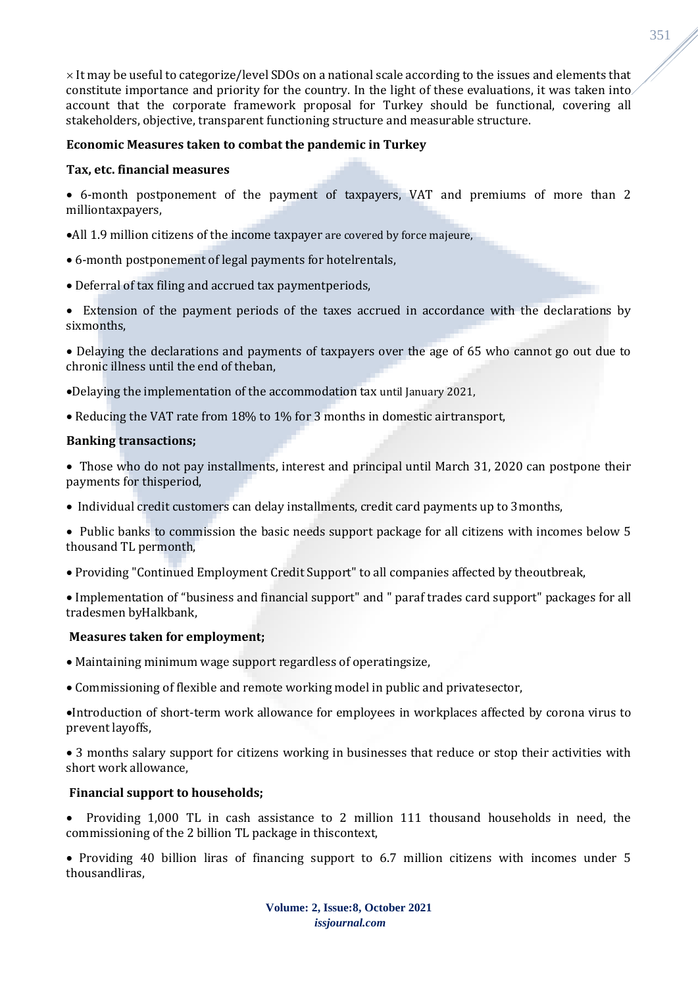$\times$  It may be useful to categorize/level SDOs on a national scale according to the issues and elements that constitute importance and priority for the country. In the light of these evaluations, it was taken into account that the corporate framework proposal for Turkey should be functional, covering all stakeholders, objective, transparent functioning structure and measurable structure.

## **Economic Measures taken to combat the pandemic in Turkey**

### **Tax, etc. financial measures**

- 6-month postponement of the payment of taxpayers, VAT and premiums of more than 2 milliontaxpayers,
- •All 1.9 million citizens of the income taxpayer are covered by force majeure,
- 6-month postponement of legal payments for hotelrentals,
- Deferral of tax filing and accrued tax paymentperiods,
- Extension of the payment periods of the taxes accrued in accordance with the declarations by sixmonths,

• Delaying the declarations and payments of taxpayers over the age of 65 who cannot go out due to chronic illness until the end of theban,

- •Delaying the implementation of the accommodation tax until January 2021,
- Reducing the VAT rate from 18% to 1% for 3 months in domestic airtransport,

### **Banking transactions;**

• Those who do not pay installments, interest and principal until March 31, 2020 can postpone their payments for thisperiod,

- Individual credit customers can delay installments, credit card payments up to 3months,
- Public banks to commission the basic needs support package for all citizens with incomes below 5 thousand TL permonth,
- Providing "Continued Employment Credit Support" to all companies affected by theoutbreak,

• Implementation of "business and financial support" and " paraf trades card support" packages for all tradesmen byHalkbank,

### **Measures taken for employment;**

- Maintaining minimum wage support regardless of operatingsize,
- Commissioning of flexible and remote working model in public and privatesector,

•Introduction of short-term work allowance for employees in workplaces affected by corona virus to prevent layoffs,

• 3 months salary support for citizens working in businesses that reduce or stop their activities with short work allowance,

### **Financial support to households;**

• Providing 1,000 TL in cash assistance to 2 million 111 thousand households in need, the commissioning of the 2 billion TL package in thiscontext,

• Providing 40 billion liras of financing support to 6.7 million citizens with incomes under 5 thousandliras,

351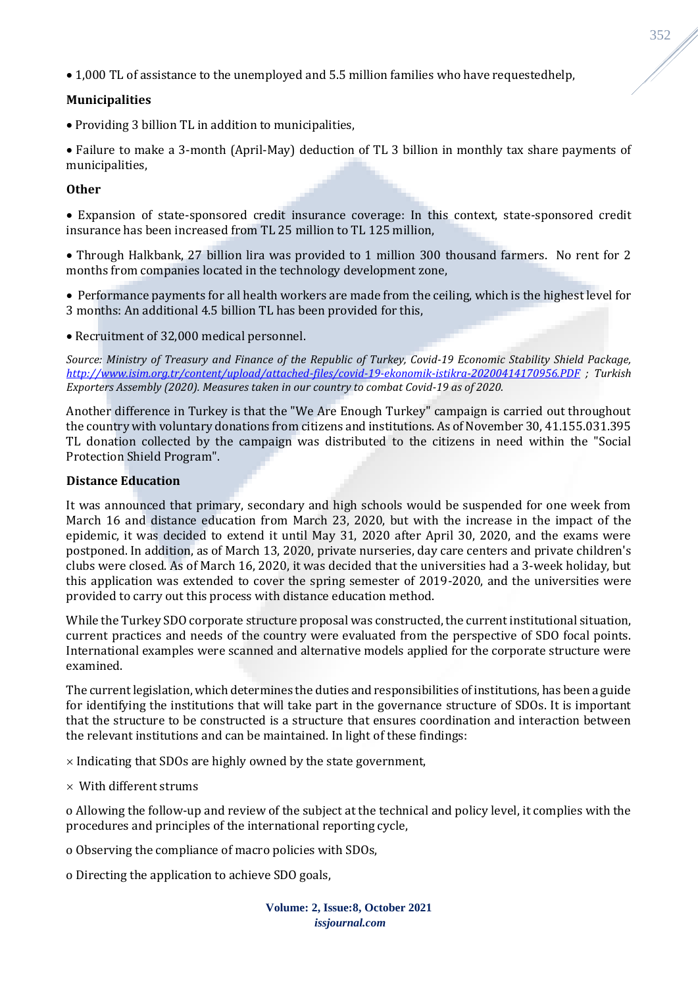• 1,000 TL of assistance to the unemployed and 5.5 million families who have requestedhelp,

## **Municipalities**

• Providing 3 billion TL in addition to municipalities,

• Failure to make a 3-month (April-May) deduction of TL 3 billion in monthly tax share payments of municipalities,

## **Other**

• Expansion of state-sponsored credit insurance coverage: In this context, state-sponsored credit insurance has been increased from TL 25 million to TL 125 million,

• Through Halkbank, 27 billion lira was provided to 1 million 300 thousand farmers. No rent for 2 months from companies located in the technology development zone,

• Performance payments for all health workers are made from the ceiling, which is the highest level for 3 months: An additional 4.5 billion TL has been provided for this,

• Recruitment of 32,000 medical personnel.

*Source: Ministry of Treasury and Finance of the Republic of Turkey, Covid-19 Economic Stability Shield Package, <http://www.isim.org.tr/content/upload/attached-files/covid-19-ekonomik-istikra-20200414170956.PDF> ; Turkish Exporters Assembly (2020). Measures taken in our country to combat Covid-19 as of 2020.*

Another difference in Turkey is that the "We Are Enough Turkey" campaign is carried out throughout the country with voluntary donations from citizens and institutions. As of November 30, 41.155.031.395 TL donation collected by the campaign was distributed to the citizens in need within the "Social Protection Shield Program".

### **Distance Education**

It was announced that primary, secondary and high schools would be suspended for one week from March 16 and distance education from March 23, 2020, but with the increase in the impact of the epidemic, it was decided to extend it until May 31, 2020 after April 30, 2020, and the exams were postponed. In addition, as of March 13, 2020, private nurseries, day care centers and private children's clubs were closed. As of March 16, 2020, it was decided that the universities had a 3-week holiday, but this application was extended to cover the spring semester of 2019-2020, and the universities were provided to carry out this process with distance education method.

While the Turkey SDO corporate structure proposal was constructed, the current institutional situation, current practices and needs of the country were evaluated from the perspective of SDO focal points. International examples were scanned and alternative models applied for the corporate structure were examined.

The current legislation, which determines the duties and responsibilities of institutions, has been a guide for identifying the institutions that will take part in the governance structure of SDOs. It is important that the structure to be constructed is a structure that ensures coordination and interaction between the relevant institutions and can be maintained. In light of these findings:

 $\times$  Indicating that SDOs are highly owned by the state government,

 $\times$  With different strums

o Allowing the follow-up and review of the subject at the technical and policy level, it complies with the procedures and principles of the international reporting cycle,

o Observing the compliance of macro policies with SDOs,

o Directing the application to achieve SDO goals,

**Volume: 2, Issue:8, October 2021** *issjournal.com*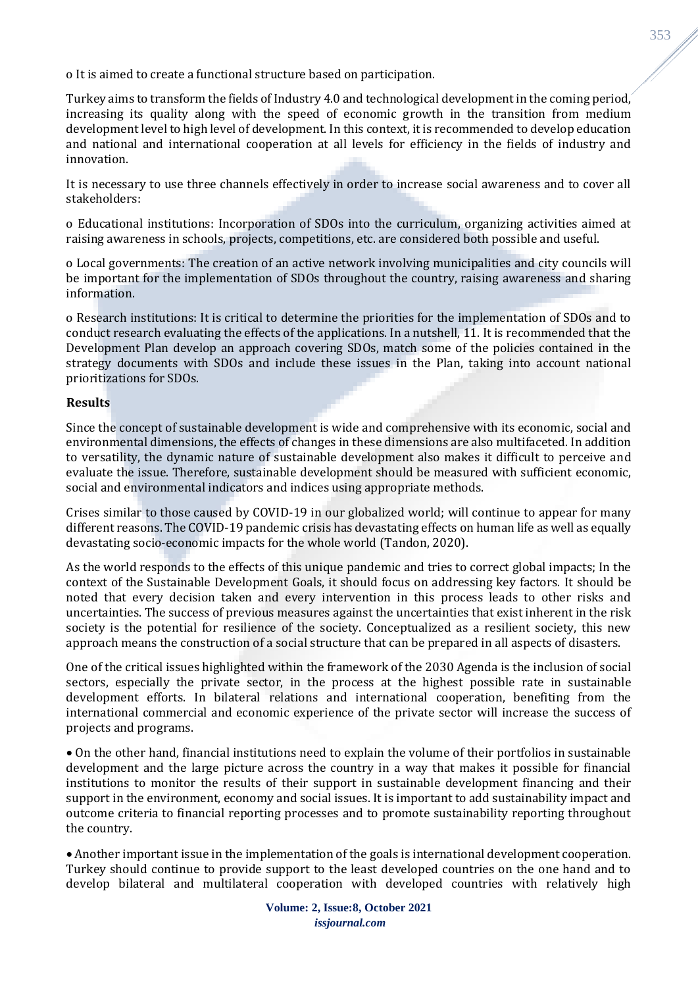o It is aimed to create a functional structure based on participation.

Turkey aims to transform the fields of Industry 4.0 and technological development in the coming period, increasing its quality along with the speed of economic growth in the transition from medium development level to high level of development. In this context, it is recommended to develop education and national and international cooperation at all levels for efficiency in the fields of industry and innovation.

It is necessary to use three channels effectively in order to increase social awareness and to cover all stakeholders:

o Educational institutions: Incorporation of SDOs into the curriculum, organizing activities aimed at raising awareness in schools, projects, competitions, etc. are considered both possible and useful.

o Local governments: The creation of an active network involving municipalities and city councils will be important for the implementation of SDOs throughout the country, raising awareness and sharing information.

o Research institutions: It is critical to determine the priorities for the implementation of SDOs and to conduct research evaluating the effects of the applications. In a nutshell, 11. It is recommended that the Development Plan develop an approach covering SDOs, match some of the policies contained in the strategy documents with SDOs and include these issues in the Plan, taking into account national prioritizations for SDOs.

### **Results**

Since the concept of sustainable development is wide and comprehensive with its economic, social and environmental dimensions, the effects of changes in these dimensions are also multifaceted. In addition to versatility, the dynamic nature of sustainable development also makes it difficult to perceive and evaluate the issue. Therefore, sustainable development should be measured with sufficient economic, social and environmental indicators and indices using appropriate methods.

Crises similar to those caused by COVID-19 in our globalized world; will continue to appear for many different reasons. The COVID-19 pandemic crisis has devastating effects on human life as well as equally devastating socio-economic impacts for the whole world (Tandon, 2020).

As the world responds to the effects of this unique pandemic and tries to correct global impacts; In the context of the Sustainable Development Goals, it should focus on addressing key factors. It should be noted that every decision taken and every intervention in this process leads to other risks and uncertainties. The success of previous measures against the uncertainties that exist inherent in the risk society is the potential for resilience of the society. Conceptualized as a resilient society, this new approach means the construction of a social structure that can be prepared in all aspects of disasters.

One of the critical issues highlighted within the framework of the 2030 Agenda is the inclusion of social sectors, especially the private sector, in the process at the highest possible rate in sustainable development efforts. In bilateral relations and international cooperation, benefiting from the international commercial and economic experience of the private sector will increase the success of projects and programs.

• On the other hand, financial institutions need to explain the volume of their portfolios in sustainable development and the large picture across the country in a way that makes it possible for financial institutions to monitor the results of their support in sustainable development financing and their support in the environment, economy and social issues. It is important to add sustainability impact and outcome criteria to financial reporting processes and to promote sustainability reporting throughout the country.

• Another important issue in the implementation of the goals is international development cooperation. Turkey should continue to provide support to the least developed countries on the one hand and to develop bilateral and multilateral cooperation with developed countries with relatively high 353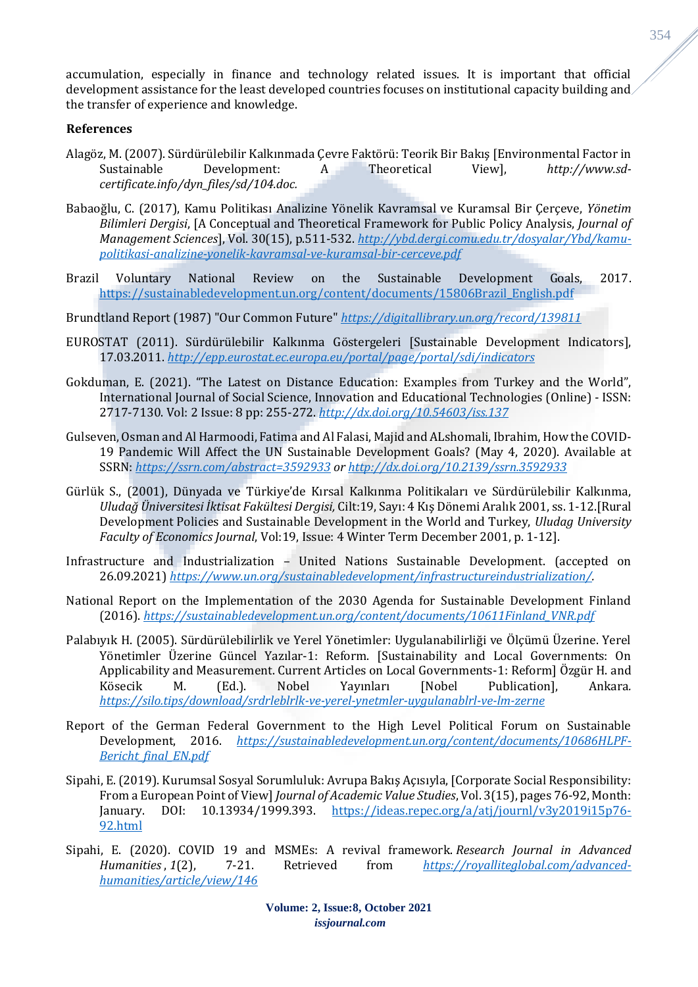accumulation, especially in finance and technology related issues. It is important that official development assistance for the least developed countries focuses on institutional capacity building and the transfer of experience and knowledge.

#### **References**

- Alagöz, M. (2007). Sürdürülebilir Kalkınmada Çevre Faktörü: Teorik Bir Bakış [Environmental Factor in Sustainable Development: A Theoretical View], *http://www.sdcertificate.info/dyn\_files/sd/104.doc.*
- Babaoğlu, C. (2017), Kamu Politikası Analizine Yönelik Kavramsal ve Kuramsal Bir Çerçeve, *Yönetim Bilimleri Dergisi*, [A Conceptual and Theoretical Framework for Public Policy Analysis, *Journal of Management Sciences*], Vol. 30(15), p.511-532. *[http://ybd.dergi.comu.edu.tr/dosyalar/Ybd/kamu](http://ybd.dergi.comu.edu.tr/dosyalar/Ybd/kamu-politikasi-analizine-yonelik-kavramsal-ve-kuramsal-bir-cerceve.pdf)[politikasi-analizine-yonelik-kavramsal-ve-kuramsal-bir-cerceve.pdf](http://ybd.dergi.comu.edu.tr/dosyalar/Ybd/kamu-politikasi-analizine-yonelik-kavramsal-ve-kuramsal-bir-cerceve.pdf)*
- Brazil Voluntary National Review on the Sustainable Development Goals, 2017. [https://sustainabledevelopment.un.org/content/documents/15806Brazil\\_English.pdf](https://sustainabledevelopment.un.org/content/documents/15806Brazil_English.pdf)
- Brundtland Report (1987) "Our Common Future" *<https://digitallibrary.un.org/record/139811>*
- EUROSTAT (2011). Sürdürülebilir Kalkınma Göstergeleri [Sustainable Development Indicators], 17.03.2011. *<http://epp.eurostat.ec.europa.eu/portal/page/portal/sdi/indicators>*
- Gokduman, E. (2021). "The Latest on Distance Education: Examples from Turkey and the World", International Journal of Social Science, Innovation and Educational Technologies (Online) - ISSN: 2717-7130. Vol: 2 Issue: 8 pp: 255-272. *<http://dx.doi.org/10.54603/iss.137>*
- Gulseven, Osman and Al Harmoodi, Fatima and Al Falasi, Majid and ALshomali, Ibrahim, How the COVID-19 Pandemic Will Affect the UN Sustainable Development Goals? (May 4, 2020). Available at SSRN: *<https://ssrn.com/abstract=3592933> or [http://dx.doi.org/10.2139/ssrn.3592933](https://dx.doi.org/10.2139/ssrn.3592933)*
- Gürlük S., (2001), Dünyada ve Türkiye'de Kırsal Kalkınma Politikaları ve Sürdürülebilir Kalkınma, *Uludağ Üniversitesi İktisat Fakültesi Dergisi,* Cilt:19, Sayı: 4 Kış Dönemi Aralık 2001, ss. 1-12.[Rural Development Policies and Sustainable Development in the World and Turkey, *Uludag University Faculty of Economics Journal*, Vol:19, Issue: 4 Winter Term December 2001, p. 1-12].
- Infrastructure and Industrialization United Nations Sustainable Development. (accepted on 26.09.2021) *[https://www.un.org/sustainabledevelopment/infrastructureindustrialization/.](https://www.un.org/sustainabledevelopment/infrastructureindustrialization/)*
- National Report on the Implementation of the 2030 Agenda for Sustainable Development Finland (2016). *[https://sustainabledevelopment.un.org/content/documents/10611Finland\\_VNR.pdf](https://sustainabledevelopment.un.org/content/documents/10611Finland_VNR.pdf)*
- Palabıyık H. (2005). Sürdürülebilirlik ve Yerel Yönetimler: Uygulanabilirliği ve Ölçümü Üzerine. Yerel Yönetimler Üzerine Güncel Yazılar-1: Reform. [Sustainability and Local Governments: On Applicability and Measurement. Current Articles on Local Governments-1: Reform] Özgür H. and Kösecik M. (Ed.). Nobel Yayınları [Nobel Publication], Ankara*. <https://silo.tips/download/srdrleblrlk-ve-yerel-ynetmler-uygulanablrl-ve-lm-zerne>*
- Report of the German Federal Government to the High Level Political Forum on Sustainable Development, 2016. *[https://sustainabledevelopment.un.org/content/documents/10686HLPF-](https://sustainabledevelopment.un.org/content/documents/10686HLPF-Bericht_final_EN.pdf)[Bericht\\_final\\_EN.pdf](https://sustainabledevelopment.un.org/content/documents/10686HLPF-Bericht_final_EN.pdf)*
- Sipahi, E. (2019). Kurumsal Sosyal Sorumluluk: Avrupa Bakış Açısıyla, [Corporate Social Responsibility: From a European Point of View] *Journal of Academic Value Studies*, Vol. 3(15), pages 76-92, Month: January. DOI: 10.13934/1999.393. [https://ideas.repec.org/a/atj/journl/v3y2019i15p76-](https://ideas.repec.org/a/atj/journl/v3y2019i15p76-92.html) [92.html](https://ideas.repec.org/a/atj/journl/v3y2019i15p76-92.html)
- Sipahi, E. (2020). COVID 19 and MSMEs: A revival framework. *Research Journal in Advanced Humanities* , *1*(2), 7-21. Retrieved from *[https://royalliteglobal.com/advanced](https://royalliteglobal.com/advanced-humanities/article/view/146)[humanities/article/view/146](https://royalliteglobal.com/advanced-humanities/article/view/146)*

354